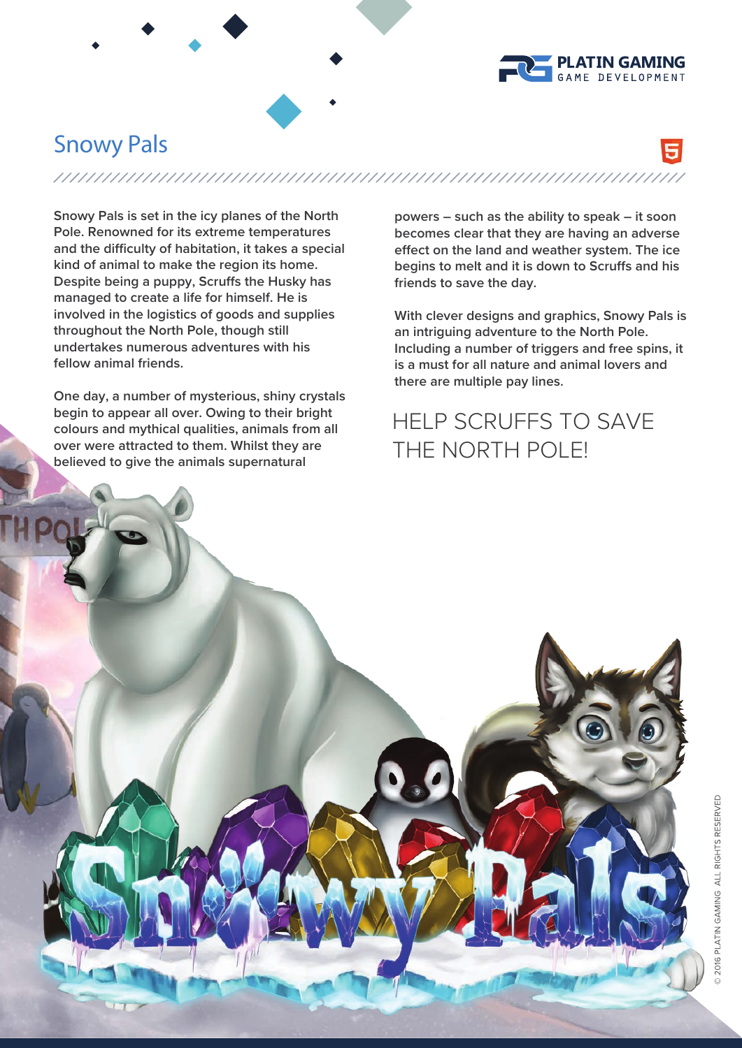

## **Snowy Pals**

**Snowy Pals is set in the icy planes of the North Pole. Renowned for its extreme temperatures**  and the difficulty of habitation, it takes a special **kind of animal to make the region its home. Despite being a puppy, Scruffs the Husky has managed to create a life for himself. He is involved in the logistics of goods and supplies throughout the North Pole, though still undertakes numerous adventures with his fellow animal friends.**

**One day, a number of mysterious, shiny crystals begin to appear all over. Owing to their bright colours and mythical qualities, animals from all over were attracted to them. Whilst they are believed to give the animals supernatural** 

**powers – such as the ability to speak – it soon becomes clear that they are having an adverse**  effect on the land and weather system. The ice begins to melt and it is down to Scruffs and his **friends to save the day.**

**With clever designs and graphics, Snowy Pals is an intriguing adventure to the North Pole. Including a number of triggers and free spins, it is a must for all nature and animal lovers and there are multiple pay lines.**

## HELP SCRUFFS TO SAVE THE NORTH POLE!